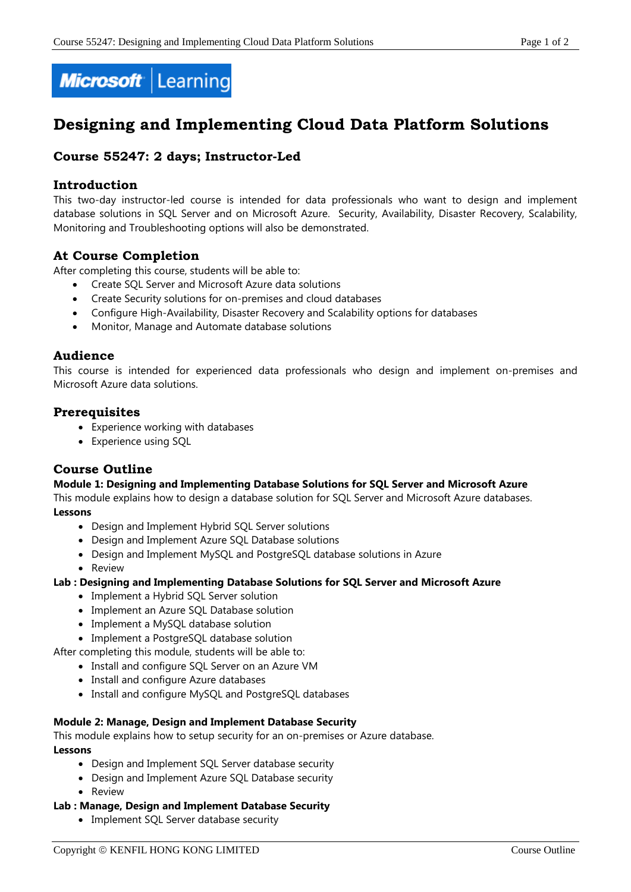

# **Designing and Implementing Cloud Data Platform Solutions**

# **Course 55247: 2 days; Instructor-Led**

## **Introduction**

This two-day instructor-led course is intended for data professionals who want to design and implement database solutions in SQL Server and on Microsoft Azure. Security, Availability, Disaster Recovery, Scalability, Monitoring and Troubleshooting options will also be demonstrated.

## **At Course Completion**

After completing this course, students will be able to:

- Create SQL Server and Microsoft Azure data solutions
- Create Security solutions for on-premises and cloud databases
- Configure High-Availability, Disaster Recovery and Scalability options for databases
- Monitor, Manage and Automate database solutions

## **Audience**

This course is intended for experienced data professionals who design and implement on-premises and Microsoft Azure data solutions.

## **Prerequisites**

- Experience working with databases
- Experience using SQL

## **Course Outline**

#### **Module 1: Designing and Implementing Database Solutions for SQL Server and Microsoft Azure**

This module explains how to design a database solution for SQL Server and Microsoft Azure databases. **Lessons**

- Design and Implement Hybrid SQL Server solutions
- Design and Implement Azure SQL Database solutions
- Design and Implement MySQL and PostgreSQL database solutions in Azure
- Review

#### **Lab : Designing and Implementing Database Solutions for SQL Server and Microsoft Azure**

- Implement a Hybrid SQL Server solution
- Implement an Azure SQL Database solution
- Implement a MySQL database solution
- Implement a PostgreSQL database solution

After completing this module, students will be able to:

- Install and configure SQL Server on an Azure VM
- Install and configure Azure databases
- Install and configure MySQL and PostgreSQL databases

#### **Module 2: Manage, Design and Implement Database Security**

This module explains how to setup security for an on-premises or Azure database.

#### **Lessons**

- Design and Implement SOL Server database security
- Design and Implement Azure SQL Database security
- Review

#### **Lab : Manage, Design and Implement Database Security**

• Implement SQL Server database security